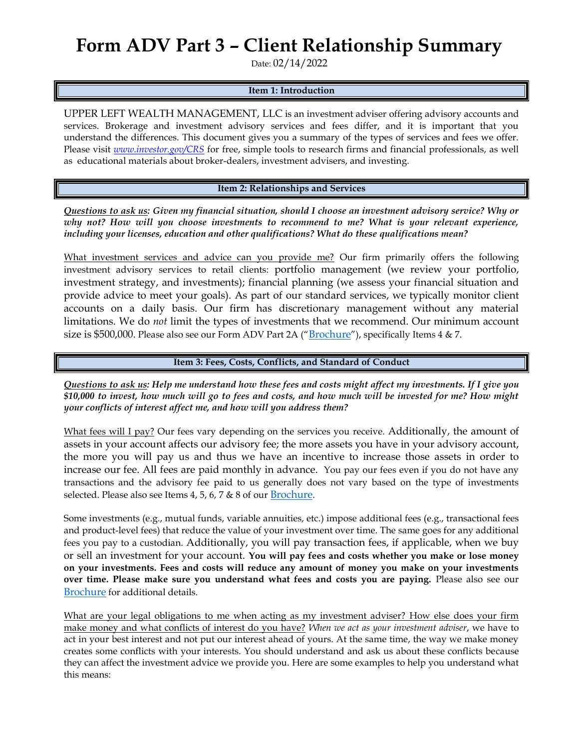# **Form ADV Part 3 – Client Relationship Summary**

Date: 02/14/2022

#### **Item 1: Introduction**

UPPER LEFT WEALTH MANAGEMENT, LLC is an investment adviser offering advisory accounts and services. Brokerage and investment advisory services and fees differ, and it is important that you understand the differences. This document gives you a summary of the types of services and fees we offer. Please visit *[www.investor.gov/CRS](http://www.investor.gov/CRS)* for free, simple tools to research firms and financial professionals, as well as educational materials about broker-dealers, investment advisers, and investing.

#### **Item 2: Relationships and Services**

*Questions to ask us: Given my financial situation, should I choose an investment advisory service? Why or why not? How will you choose investments to recommend to me? What is your relevant experience, including your licenses, education and other qualifications? What do these qualifications mean?*

What investment services and advice can you provide me? Our firm primarily offers the following investment advisory services to retail clients: portfolio management (we review your portfolio, investment strategy, and investments); financial planning (we assess your financial situation and provide advice to meet your goals). As part of our standard services, we typically monitor client accounts on a daily basis. Our firm has discretionary management without any material limitations. We do *not* limit the types of investments that we recommend. Our minimum account size is \$500,000. Please also see our Form ADV Part 2A ("[Brochure](https://adviserinfo.sec.gov/firm/summary/288762)"), specifically Items 4 & 7.

### **Item 3: Fees, Costs, Conflicts, and Standard of Conduct**

*Questions to ask us: Help me understand how these fees and costs might affect my investments. If I give you \$10,000 to invest, how much will go to fees and costs, and how much will be invested for me? How might your conflicts of interest affect me, and how will you address them?* 

What fees will I pay? Our fees vary depending on the services you receive. Additionally, the amount of assets in your account affects our advisory fee; the more assets you have in your advisory account, the more you will pay us and thus we have an incentive to increase those assets in order to increase our fee. All fees are paid monthly in advance. You pay our fees even if you do not have any transactions and the advisory fee paid to us generally does not vary based on the type of investments selected. Please also see Items 4, 5, 6, 7 & 8 of our [Brochure](https://adviserinfo.sec.gov/firm/summary/288762).

Some investments (e.g., mutual funds, variable annuities, etc.) impose additional fees (e.g., transactional fees and product-level fees) that reduce the value of your investment over time. The same goes for any additional fees you pay to a custodian. Additionally, you will pay transaction fees, if applicable, when we buy or sell an investment for your account. **You will pay fees and costs whether you make or lose money on your investments. Fees and costs will reduce any amount of money you make on your investments over time. Please make sure you understand what fees and costs you are paying.** Please also see our [Brochure](https://adviserinfo.sec.gov/firm/summary/288762) for additional details.

What are your legal obligations to me when acting as my investment adviser? How else does your firm make money and what conflicts of interest do you have? *When we act as your investment adviser*, we have to act in your best interest and not put our interest ahead of yours. At the same time, the way we make money creates some conflicts with your interests. You should understand and ask us about these conflicts because they can affect the investment advice we provide you. Here are some examples to help you understand what this means: